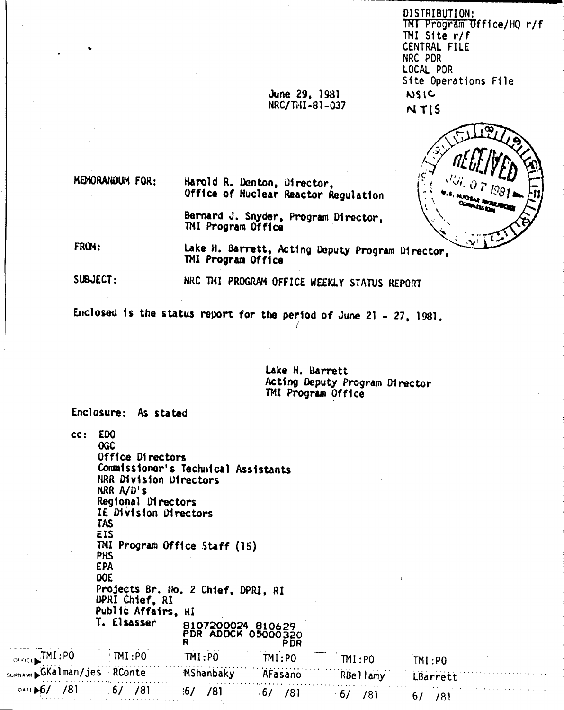DISTRIBUTION: TMT Program Office/HQ r/f TMI Site r/f CENTRAL FILE NRC PDR LOCAL PDR Site Operations File **NSIC**  $NTS$ 

June 29, 1981 NRC/THI-81-037

MEMORANDUM FOR:

Harold R. Denton, Director, Office of Nuclear Reactor Regulation

> Bernard J. Snyder, Program Director. TMI Program Office

FROM: Lake H. Barrett, Acting Deputy Program Director, TMI Program Office

SUBJECT: NRC TI41 PROGRAM OFFICE WEEKLY STATUS REPORT

Enclosed is the status report for the period of June 21 - 27, 1981.

Lake H. Barrett Acting Deputy Program Director TMI Program Office

Enclosure: As stated

ni rici.

SURNAME

| cc:                     | ED <sub>0</sub><br><b>OGC</b><br>Office Directors<br>Commissioner's Technical Assistants<br>NRR Division Directors<br>NRR $A/D's$<br>Regional Directors<br>IE Division Directors<br>TAS<br>EIS<br>TMI Program Office Staff (15)<br><b>PHS</b><br><b>EPA</b><br>DOE<br>Projects Br. No. 2 Chief, DPRI, RI<br><b>UPRI Chief, RI</b><br>Public Affairs, RI<br>T. Elsasser | 8107200024 810629<br>PDR ADOCK 05000320<br>R | <b>PDR</b>        |           |           |  |
|-------------------------|------------------------------------------------------------------------------------------------------------------------------------------------------------------------------------------------------------------------------------------------------------------------------------------------------------------------------------------------------------------------|----------------------------------------------|-------------------|-----------|-----------|--|
| FREE TMI:PO             | IMI:PO                                                                                                                                                                                                                                                                                                                                                                 | TMI:PO                                       | $\mathsf{TMI:PO}$ | IMI:PO    | TM:PO     |  |
| NAW: GKalman/jes RConte |                                                                                                                                                                                                                                                                                                                                                                        | MShanbaky                                    | : AFasano         | RBellamy  | LBarrett  |  |
| 041.16/<br>781          | /81<br>6/                                                                                                                                                                                                                                                                                                                                                              | .6/<br>/81                                   | 6/<br>/81         | 6/<br>/81 | 6/<br>781 |  |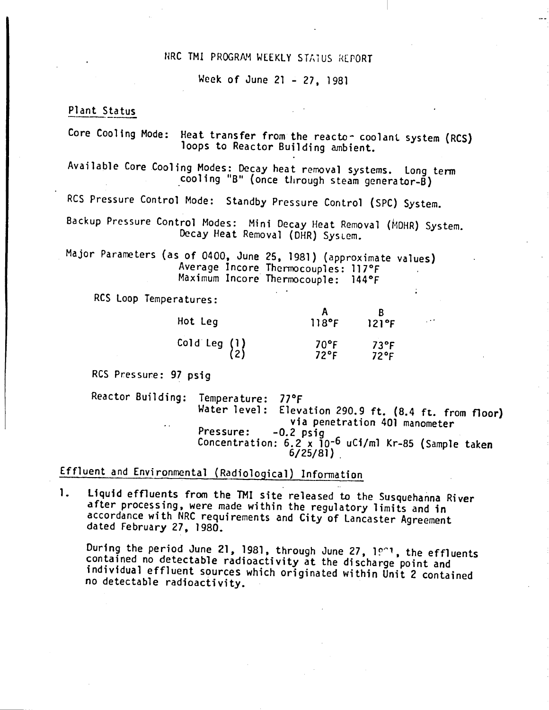### NRC TMI PROGRN1 WEEKLY S T*1,1* us ,{[PORT

Week of June 21 - 27, 1981

# Plant Status

Core Cooling Mode: Heat transfer from the reacto- coolant system (RCS) loops to Reactor Building ambient. Available Core Cooling Modes: Decay heat removal systems. Long term  $\overline{\text{cooling}}$  "B" (once through steam generator-B) RCS Pressure Control Mode: Standby Pressure Control (SPC) System. Backup Pressure Control Modes: Mini Decay Heat Removal (MDHR) System. Decay Heat Removal (DHR) System. Major Parameters (as of 0400. June 25.1981) (approximate values) Average Incore Thermocouples: 117°F Maximum Incore Thermocouple: 144°F RCS Loop Temperatures: A B Hot leg 118°F 121°F .' Cold Leg (1) 70°F 73°F<br>72°F 72°F 72°F 2) 72°F 72°F RCS Pressure: 97 psig Reactor Building: Temperature: 77°F  $E$ levation 290.9 ft. (8.4 ft. from floor) via penetration 401 manometer Pressure: -0.2 psig Concentration:  $6.2 \times 10^{-6}$  uCi/ml Kr-85 (Sample taken 6/25/81) .

Effluent and Environmental (Radiological) Infonnation

1. liquid effluents from the 1MI site released to the Susquehanna River after processing. were made within the regulatory limits and in accordance with NRC requirements and City of Lancaster Agreement dated February 27. 1980.

During the period June 21, 1981, through June 27,  $10^{\circ}$ , the effluents contained no detectable radioactivity at the discharge point and individual effluent sources which originated within Unit 2 contained no detectable radioactivity.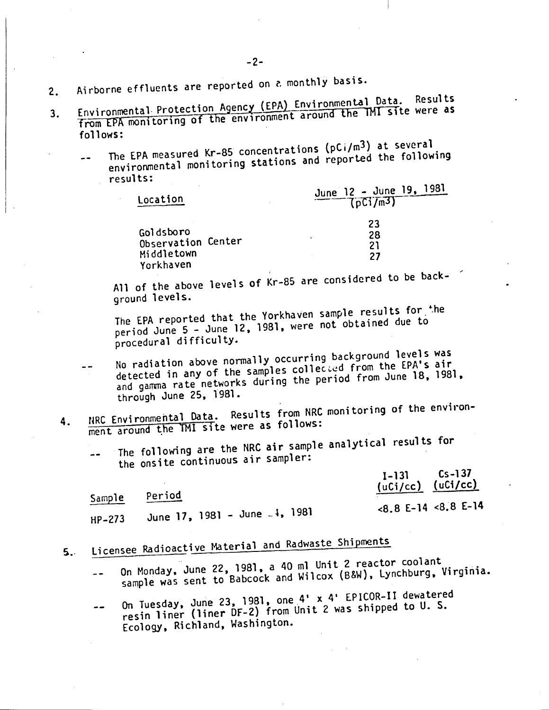- 2. Airborne effluents are reported on a monthly basis.
- 3. Environmental Protection Agency (EPA) Environmental Data. Results<br>3. Environmental Protection Agency (EPA) Environment around the TMI site were as from EPA monitoring of the environment around the TMI site were as follows:
	- The EPA measured Kr-85 concentrations (pCi/m<sup>3</sup> ) at several environmental monitoring stations and reported the following  $\overline{a}$ results:

| Location           | June 12 - June 19, 1981<br>$\overline{(\rho \text{Ci}/\text{m3})}$ |
|--------------------|--------------------------------------------------------------------|
| Goldsboro          | 23                                                                 |
| Observation Center | 28                                                                 |
| Middletown         | 21                                                                 |
| Yorkhaven          | 27                                                                 |

All of the above levels of  $Kr-85$  are considered to be background levels.

The EPA reported that the Yorkhaven sample results for the period June 5 - June 12, 1981, were not obtained due to procedural difficulty.

- No radiation above normally occurring background levels was detected in any of the samples collected from the EPA's air  $-$ and gamma rate networks during the period from June 18, 1981, through June 25, 1981.
- 4. NRC Environmental Data. Results from NRC monitoring of the environment around the TMI site were as follows:
	- The following are the NRC air sample analytical results for the onsite continuous air sampler:

|          |                                           | $I-131$ $Cs-137$<br>(uCi/cc) $(uCi/cc)$ |  |
|----------|-------------------------------------------|-----------------------------------------|--|
| Sample   | <b>Period</b>                             | $<8.8$ E-14 $<8.8$ E-14                 |  |
| $HP-273$ | June 17, 1981 – June <sub>–</sub> 4, 1981 |                                         |  |

# 5. Licensee Radioactive Material and Radwaste Shipments

- On Monday, June 22, 1981, a 40 ml Unit 2 reactor coolant sample was sent to Babcock and Wilcox (B&W), Lynchburg, Virginia.  $\overline{a}$
- On Tuesday, June 23, 1981, one 4' x 4' EPICOR-ll dewatered resin liner (liner DF-2) from Unit 2 was shipped to U. S.  $-1$ Ecology, Richland, Washington.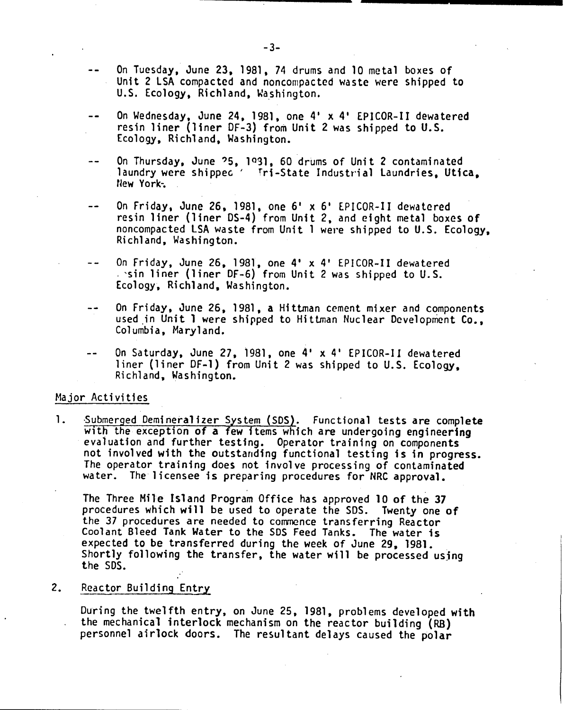- On Tuesday. June 23. 1981. 74 drums and 10 metal boxes of Unit 2 lSA compacted and noncompacted waste were shipped to U.S. Ecology, Richland, Washington.
- On Wednesday. June 24, 1981. one 4' x 4' EPICOR-II dewatered resin liner (liner OF-3) from Unit 2 was shipped to U.S. Ecology, Richland, Washington.
- On Thursday. June ?5. 1091. 60 drums of Unit 2 contaminated laundry were shippee<sup>'</sup> Tri-State Industrial Laundries. Utica. flew York-.
- On Friday. June 26, 1981. one 6' x 6' EPICOR-II dewatered resin liner (liner 05-4) from Unit 2. and eight metal boxes of noncompacted LSA waste from Unit 1 were shipped to U.S. Ecology. Richland. Washington.
- On Friday. June 26, 1981. one 4' x 4' EPICOR-II dewatered . sin liner (liner DF-6) from Unit 2 was shipped to U.S. Ecology, Richland, Washington.
- On Friday. June 26. 1981. a Hitlman cement mixer and components  $\sim$   $\sim$ used in Unit 1 were shipped to Hittman Nuclear Development Co., Columbia. Maryland.
- On Saturday. June 27. 1981. one 4' x 4' EPICOR-Il dewatered liner (liner DF-l) from Unit 2 was shipped to U.S. Ecology, Richland, Washington.

#### Major Activities

1. Submerged Demineralizer System (SDS). Functional tests are complete with the exception of a few items which are undergoing engineering evaluation and further testing. Operator training on components not involved with the outstanding functional testing is in progress. The operator training does not involve processing of contaminated water. The licensee is preparing procedures for NRC approval.

The Three Mile Island Program Office has approved 10 of the 37 procedures which will be used to operate the 50S. Twenty one of the 37 procedures are needed to commence transferring Reactor Coolant Bleed Tank Water to the SOS Feed Tanks. The water 1s expected to be transferred during the week of June 29, 1981. Shortly following the transfer. the water will be processed usjng the 50S.

, .

2. Reactor Building Entry

During the twelfth entry, on June 25, 1981, problems developed with the mechanical interlock mechanism on the reactor building (RB) personnel airlock doors. The resultant delays caused the polar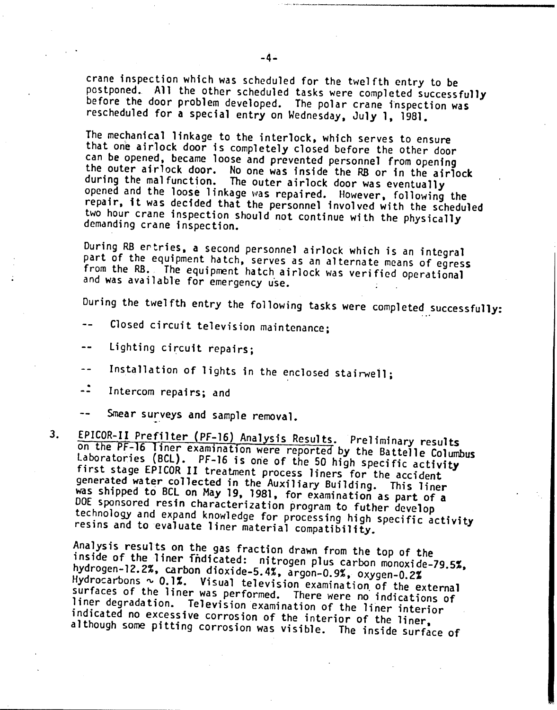crane inspection which was scheduled for the twelfth entry to be postponed. All the other scheduled tasks were completed successfully before the door problem developed. The polar crane inspection was rescheduled for a special entry on Wednesday, July 1, 1981.

The mechanical linkage to the interlock, which serves to ensure that one airlock door is completely closed before the other door can be opened, became loose and prevented personnel from opening the outer airlock door. No one was inside the RB or in the airlock during the malfunction. The outer airlock door was eventually opened and the loose linkage was repaired. However, following the repair, it was decided that the personnel involved with the scheduled two hour crane inspection should not continue with the physically demanding crane inspection.

During RB ertries, a second personnel airlock which is an integral part of the equipment hatch, serves as an alternate means of egress from the RB. The equipment hatch airlock was verified operational and was available for emergency u'se.

During the twelfth entry the following tasks were completed successfully:

- Closed circuit television maintenance;
- Lighting circuit repairs;  $-$
- Installation of lights in the enclosed stairwell;  $- -$
- $\ddot{\cdot}$ Intercom repairs; and
- Smear surveys and sample removal.
- 3. EPICOR-II Prefilter (PF-16) Analysis Results. Preliminary results on the *PF-16* liner examination were reported by the Battelle Columbus laboratories (BCl). PF-16 is *orie* of the *50* high specific activity first stage EPICOR II treatment process liners for the accident generated water collected in the Auxiliary Building. This liner was shipped to BCL on May 19, 1981, for examination as part of a ODE sponsored resin characterization program to futher develop technology and expand knowledge for processing high specific activity resins and to evaluate liner material compatibility.

Analysis results on the gas fraction drawn from the top of the inside of the liner fndicated: nitrogen plus carbon monoxide-79.5%, hydrogen-12.2%, carbon dioxide-5.4%, argon-0.9%, oxygen-0.2% Hydrocarbons ~ 0.1%. Visual television examination of the external surfaces of the liner was performed. There were no indications of liner degradation. Television examination of the liner interior indicated no excessive corrosion of the interior of the liner, although some pitting corrosion was visible. The inside surface of